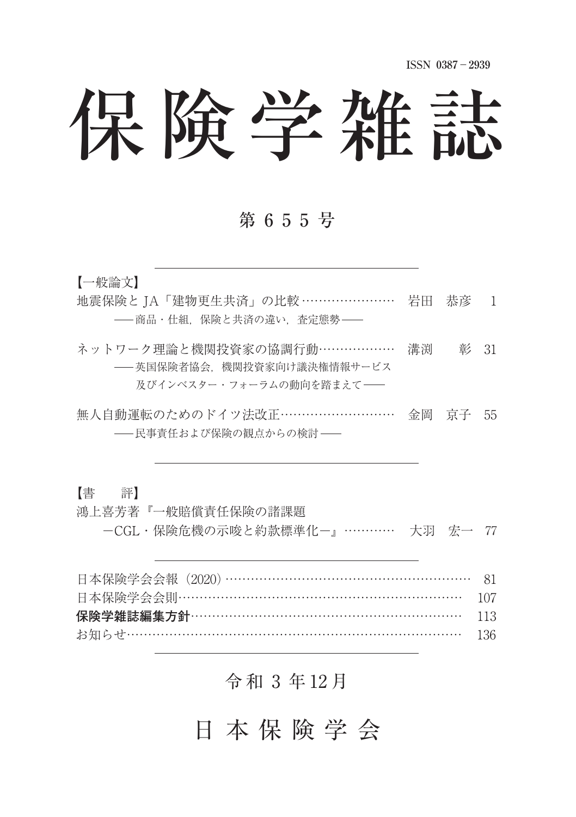**ISSN 0387**-**2939**

# 保険学雑誌

#### 第 6 5 5 号

【一般論文】

- 地震保険と TA「建物更生共済」の比較 ………………… 岩田 恭彦 1 ––商品・什組、保険と共済の違い、 査定態勢––
- ネットワーク理論と機関投資家の協調行動……………… 溝渕 彰 31 英国保険者協会,機関投資家向け議決権情報サービス 及びインベスター・フォーラムの動向を踏まえて––
- 無人自動運転のためのドイツ法改正 ………………………… 金岡 京子 55 - 民事責任および保険の観点からの検討 -

【書 評】

鴻上喜芳著『一般賠償責任保険の諸課題 CGL・保険危機の示唆と約款標準化 ⽞ 大羽 宏一 77

| 日本保険学会会報 (2020) ………………………………………………… 81 |  |
|----------------------------------------|--|
| 日本保険学会会則……………………………………………………… 107      |  |
|                                        |  |
|                                        |  |

## 令 和 ⚓ 年 12 月

日 本 保 険 学 会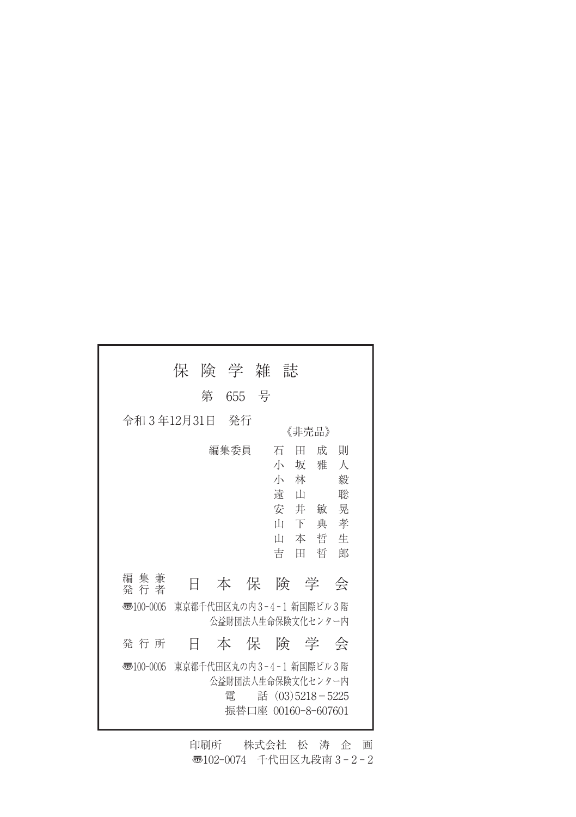|                                                                        | 保                       | 険 学 雑                  |   | 誌                                                                              |                                 |                                 |
|------------------------------------------------------------------------|-------------------------|------------------------|---|--------------------------------------------------------------------------------|---------------------------------|---------------------------------|
|                                                                        | 第                       | 655                    | 号 |                                                                                |                                 |                                 |
| 令和 3 年12月31日                                                           |                         | - 発行                   |   | 《非壳品》                                                                          |                                 |                                 |
|                                                                        |                         | 編集委員                   |   | 石<br>Ħ<br>小<br>坂<br>小 林<br>遠<br>$\mathbb L$<br>安 井<br>īĪт<br>下<br>īН<br>吉<br>Ħ | 成<br>雅<br>一敏<br>典<br>本 哲 生<br>哲 | 則<br>A<br>毅<br>聡<br>晃<br>孝<br>郎 |
| 編 集 兼<br>発 行 者                                                         | 日                       | 本保                     |   | 険 学                                                                            |                                 | 会                               |
| 東京都千代田区丸の内3-4-1 新国際ビル3階<br>$\overline{3}100-0005$<br>公益財団法人生命保険文化センター内 |                         |                        |   |                                                                                |                                 |                                 |
| 発 行 所                                                                  | Ħ                       | うちゅうしょう 本の保 こうしょう      |   | 険 学                                                                            |                                 | 会                               |
| $\overline{3}100-0005$                                                 | 東京都千代田区丸の内3-4-1 新国際ビル3階 | 公益財団法人生命保険文化センター内<br>雷 |   | 話 (03)5218-5225<br>振替口座 00160-8-607601                                         |                                 |                                 |

印刷所 株式会社 松 涛 企 画 〠102-0074 千代田区九段南 3 - 2 - 2